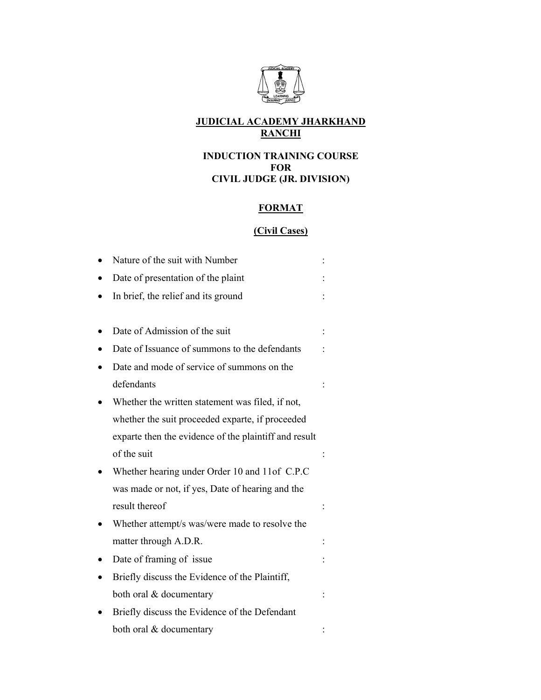

## **JUDICIAL ACADEMY JHARKHAND RANCHI**

## **INDUCTION TRAINING COURSE FOR CIVIL JUDGE (JR. DIVISION)**

## **FORMAT**

# **(Civil Cases)**

| Nature of the suit with Number                        |  |
|-------------------------------------------------------|--|
| Date of presentation of the plaint                    |  |
| In brief, the relief and its ground                   |  |
|                                                       |  |
| Date of Admission of the suit                         |  |
| Date of Issuance of summons to the defendants         |  |
| Date and mode of service of summons on the            |  |
| defendants                                            |  |
| Whether the written statement was filed, if not,      |  |
| whether the suit proceeded exparte, if proceeded      |  |
| exparte then the evidence of the plaintiff and result |  |
| of the suit                                           |  |
| Whether hearing under Order 10 and 11of C.P.C         |  |
| was made or not, if yes, Date of hearing and the      |  |
| result thereof                                        |  |
| Whether attempt/s was/were made to resolve the        |  |
| matter through A.D.R.                                 |  |
| Date of framing of issue                              |  |
| Briefly discuss the Evidence of the Plaintiff,        |  |
| both oral & documentary                               |  |
| Briefly discuss the Evidence of the Defendant         |  |
| both oral & documentary                               |  |